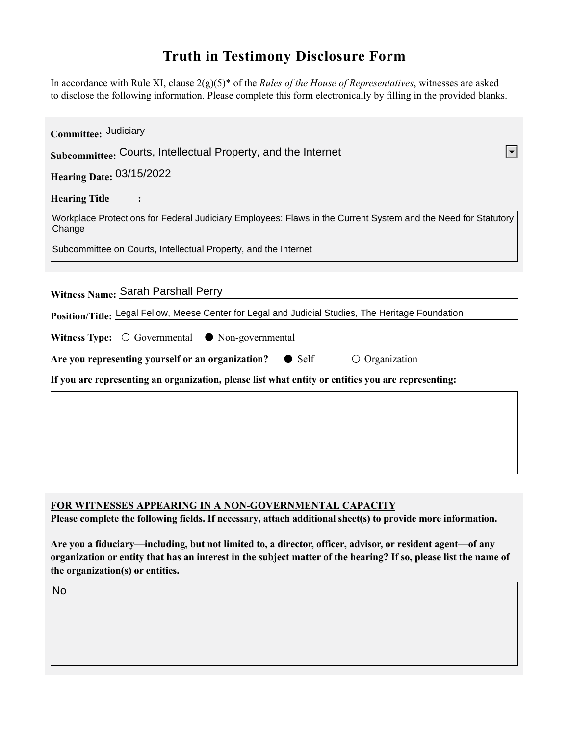## **Truth in Testimony Disclosure Form**

In accordance with Rule XI, clause 2(g)(5)\* of the *Rules of the House of Representatives*, witnesses are asked to disclose the following information. Please complete this form electronically by filling in the provided blanks.

| Committee: Judiciary                                                                                                    |
|-------------------------------------------------------------------------------------------------------------------------|
| Subcommittee: Courts, Intellectual Property, and the Internet                                                           |
| <b>Hearing Date: 03/15/2022</b>                                                                                         |
| <b>Hearing Title</b>                                                                                                    |
| Workplace Protections for Federal Judiciary Employees: Flaws in the Current System and the Need for Statutory<br>Change |
| Subcommittee on Courts, Intellectual Property, and the Internet                                                         |
|                                                                                                                         |
| Witness Name: Sarah Parshall Perry                                                                                      |
| Position/Title: Legal Fellow, Meese Center for Legal and Judicial Studies, The Heritage Foundation                      |
| Witness Type: $\bigcirc$ Governmental $\bullet$ Non-governmental                                                        |
| Are you representing yourself or an organization?<br>$\bigcirc$ Organization<br>$\bullet$ Self                          |
| If you are representing an organization, please list what entity or entities you are representing:                      |
|                                                                                                                         |
|                                                                                                                         |
|                                                                                                                         |
|                                                                                                                         |
|                                                                                                                         |

## **FOR WITNESSES APPEARING IN A NON-GOVERNMENTAL CAPACITY**

**Please complete the following fields. If necessary, attach additional sheet(s) to provide more information.**

**Are you a fiduciary—including, but not limited to, a director, officer, advisor, or resident agent—of any organization or entity that has an interest in the subject matter of the hearing? If so, please list the name of the organization(s) or entities.**

No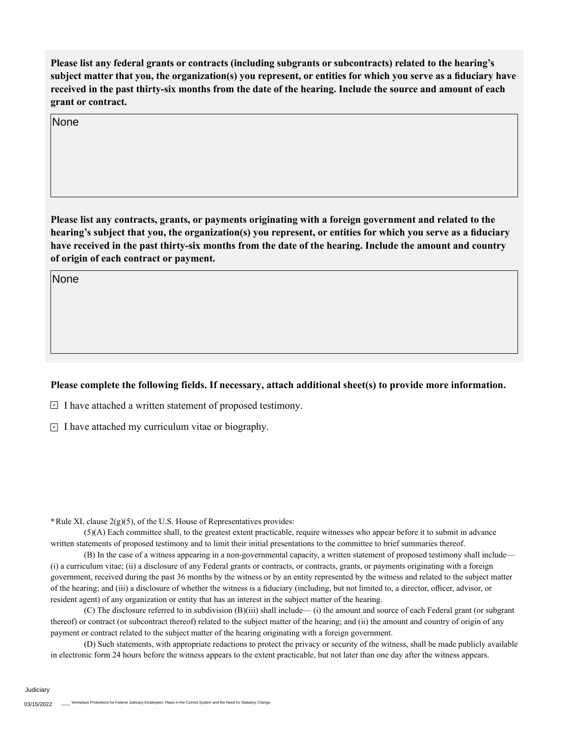**Please list any federal grants or contracts (including subgrants or subcontracts) related to the hearing's subject matter that you, the organization(s) you represent, or entities for which you serve as a fiduciary have received in the past thirty-six months from the date of the hearing. Include the source and amount of each grant or contract.** 

None

**Please list any contracts, grants, or payments originating with a foreign government and related to the hearing's subject that you, the organization(s) you represent, or entities for which you serve as a fiduciary have received in the past thirty-six months from the date of the hearing. Include the amount and country of origin of each contract or payment.** 

None

## **Please complete the following fields. If necessary, attach additional sheet(s) to provide more information.**

 $\exists$  I have attached a written statement of proposed testimony.

 $\subseteq$  I have attached my curriculum vitae or biography.

**\***Rule XI, clause 2(g)(5), of the U.S. House of Representatives provides:

(5)(A) Each committee shall, to the greatest extent practicable, require witnesses who appear before it to submit in advance written statements of proposed testimony and to limit their initial presentations to the committee to brief summaries thereof.

(B) In the case of a witness appearing in a non-governmental capacity, a written statement of proposed testimony shall include— (i) a curriculum vitae; (ii) a disclosure of any Federal grants or contracts, or contracts, grants, or payments originating with a foreign government, received during the past 36 months by the witness or by an entity represented by the witness and related to the subject matter of the hearing; and (iii) a disclosure of whether the witness is a fiduciary (including, but not limited to, a director, officer, advisor, or resident agent) of any organization or entity that has an interest in the subject matter of the hearing.

(C) The disclosure referred to in subdivision (B)(iii) shall include— (i) the amount and source of each Federal grant (or subgrant thereof) or contract (or subcontract thereof) related to the subject matter of the hearing; and (ii) the amount and country of origin of any payment or contract related to the subject matter of the hearing originating with a foreign government.

(D) Such statements, with appropriate redactions to protect the privacy or security of the witness, shall be made publicly available in electronic form 24 hours before the witness appears to the extent practicable, but not later than one day after the witness appears.

**Judiciary**